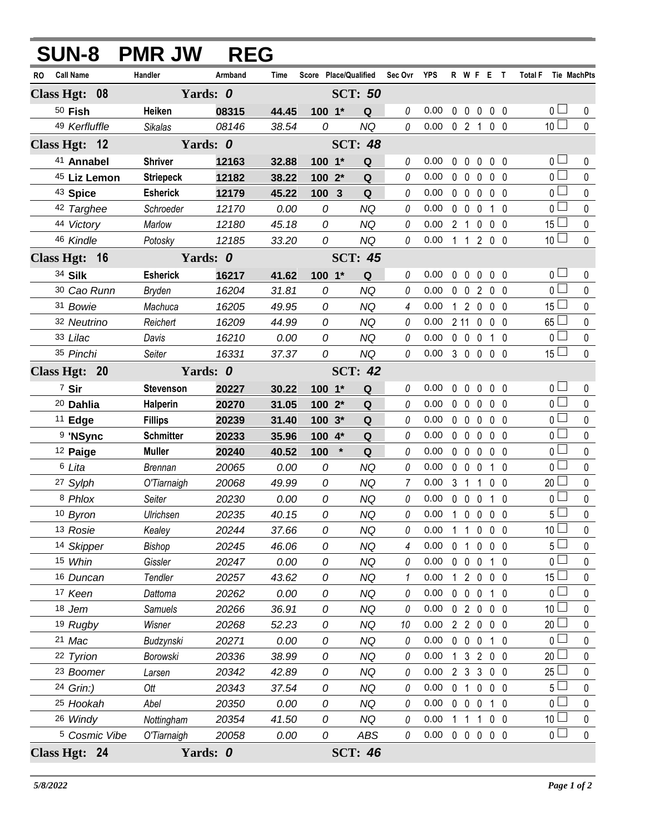| <b>SUN-8 PMR JW</b>      |                  | <b>REG</b> |       |                       |                |                |                    |             |                     |                   |                |                       |              |
|--------------------------|------------------|------------|-------|-----------------------|----------------|----------------|--------------------|-------------|---------------------|-------------------|----------------|-----------------------|--------------|
| RO Call Name             | Handler          | Armband    | Time  | Score Place/Qualified |                | Sec Ovr YPS    |                    |             |                     | R W F E T         |                | Total F Tie MachPts   |              |
| Class Hgt: 08            | Yards: 0         |            |       |                       | <b>SCT: 50</b> |                |                    |             |                     |                   |                |                       |              |
| $50$ Fish                | Heiken           | 08315      | 44.45 | 100 1*                | Q              | 0              | 0.00               |             |                     | 00000             |                | 0 <sub>1</sub>        | 0            |
| 49 Kerfluffle            | <b>Sikalas</b>   | 08146      | 38.54 | 0                     | <b>NQ</b>      | 0              | $0.00 \t0 2 1 0 0$ |             |                     |                   |                | 10 <sup>1</sup>       | $\mathbf{0}$ |
| Class Hgt: 12            | Yards: 0         |            |       |                       | <b>SCT: 48</b> |                |                    |             |                     |                   |                |                       |              |
| 41 Annabel               | <b>Shriver</b>   | 12163      | 32.88 | 100 1*                | Q              | 0              | 0.00               | $\mathbf 0$ | $\mathbf 0$         | $\mathbf 0$       | $0\quad 0$     | 0 <sub>1</sub>        | 0            |
| 45 Liz Lemon             | <b>Striepeck</b> | 12182      | 38.22 | 100 2*                | Q              | 0              | 0.00               |             | $0\quad 0\quad 0$   |                   | 0 <sub>0</sub> | $\overline{0}$        | $\mathbf 0$  |
| <sup>43</sup> Spice      | <b>Esherick</b>  | 12179      | 45.22 | 100<br>$\mathbf{3}$   | Q              | 0              | 0.00               |             | $0\quad 0$          | $\mathbf 0$       | 0 <sub>0</sub> | $\overline{0}$        | $\pmb{0}$    |
| 42 Targhee               | Schroeder        | 12170      | 0.00  | 0                     | <b>NQ</b>      | 0              | 0.00               |             | $0\quad 0$          | $\mathbf 0$       | $1\quad0$      | $\overline{0}$        | $\pmb{0}$    |
| 44 Victory               | Marlow           | 12180      | 45.18 | 0                     | <b>NQ</b>      | 0              | 0.00               |             | 2 <sub>1</sub>      | 0                 | $0\quad 0$     | $15\perp$             | 0            |
| 46 Kindle                | Potosky          | 12185      | 33.20 | 0                     | <b>NQ</b>      | 0              | 0.00               |             |                     | 1 1 2 0 0         |                | 10 <sup>1</sup>       | $\mathbf{0}$ |
| Class Hgt: 16            | Yards: 0         |            |       |                       | <b>SCT: 45</b> |                |                    |             |                     |                   |                |                       |              |
| 34 Silk                  | <b>Esherick</b>  | 16217      | 41.62 | $100 - 1*$            | Q              | 0              | 0.00               |             | $0\quad 0$          | $0\quad 0\quad 0$ |                | $\overline{0}$        | 0            |
| 30 Cao Runn              | <b>Bryden</b>    | 16204      | 31.81 | 0                     | <b>NQ</b>      | 0              | 0.00               |             |                     | 0 0 2 0 0         |                | $_0$ $\Box$           | $\mathbf 0$  |
| 31 Bowie                 | Machuca          | 16205      | 49.95 | 0                     | <b>NQ</b>      | 4              | 0.00               |             |                     | 1 2 0 0 0         |                | $15\perp$             | 0            |
| 32 Neutrino              | Reichert         | 16209      | 44.99 | 0                     | NQ             | 0              | 0.00               |             |                     | 2 11 0 0 0        |                | $65\Box$              | $\pmb{0}$    |
| 33 Lilac                 | Davis            | 16210      | 0.00  | 0                     | <b>NQ</b>      | 0              | 0.00               |             | $0\quad 0$          | $\mathbf 0$       | $1\quad0$      | 0 <sub>1</sub>        | $\mathbf 0$  |
| 35 Pinchi                | Seiter           | 16331      | 37.37 | 0                     | <b>NQ</b>      | 0              | 0.0030000          |             |                     |                   |                | $15\Box$              | $\mathbf{0}$ |
| Class Hgt: 20            | Yards: 0         |            |       |                       | <b>SCT: 42</b> |                |                    |             |                     |                   |                |                       |              |
| 7 Sir                    | <b>Stevenson</b> | 20227      | 30.22 | 100 1*                | Q              | 0              | 0.00               |             | $0\quad 0$          | $0\quad 0\quad 0$ |                | 0 <sub>1</sub>        | 0            |
| <sup>20</sup> Dahlia     | Halperin         | 20270      | 31.05 | 100 2*                | Q              | 0              | 0.00               |             |                     | 00000             |                | $\overline{0}$        | $\mathbf 0$  |
| $11$ Edge                | <b>Fillips</b>   | 20239      | 31.40 | $100.3*$              | Q              | 0              | 0.00               |             |                     | 00000             |                | $\overline{0}$        | 0            |
| 9 'NSync                 | <b>Schmitter</b> | 20233      | 35.96 | 100 4*                | Q              | 0              | 0.00               |             |                     | 00000             |                | $\overline{0}$        | $\mathbf 0$  |
| 12 Paige                 | <b>Muller</b>    | 20240      | 40.52 | $\star$<br>100        | Q              | 0              | 0.00               |             | $0\quad 0$          | $\mathbf 0$       | 0 <sub>0</sub> | 0 <sub>0</sub>        | 0            |
| 6 Lita                   | <b>Brennan</b>   | 20065      | 0.00  | 0                     | <b>NQ</b>      | 0              | 0.00               |             | $0\quad 0\quad 0$   |                   | $1\quad0$      | $_0\sqcup$            | $\mathbf 0$  |
| 27 Sylph                 | O'Tiarnaigh      | 20068      | 49.99 | 0                     | <b>NQ</b>      | $\overline{7}$ | 0.00               |             | $3 \quad 1 \quad 1$ |                   | 0 <sub>0</sub> | $20-$                 | 0            |
| 8 Phlox                  | Seiter           | 20230      | 0.00  | 0                     | <b>NQ</b>      | $\theta$       | 0.00               |             |                     | 0 0 0 1 0         |                | $\overline{0}$ $\Box$ | $\pmb{0}$    |
| 10 Byron                 | Ulrichsen        | 20235      | 40.15 | 0                     | NQ             | 0              | 0.00 1 0 0 0 0     |             |                     |                   |                | 5 <sub>1</sub>        | $\mathbf{0}$ |
| 13 Rosie                 | Kealey           | 20244      | 37.66 | 0                     | NQ             | 0              | 0.00               |             |                     | 1 1 0 0 0         |                | 10 <sup>1</sup>       | $\mathbf 0$  |
| 14 Skipper               | <b>Bishop</b>    | 20245      | 46.06 | 0                     | <b>NQ</b>      | 4              | 0.00               |             | 0 <sub>1</sub>      | $0\quad 0\quad 0$ |                | 5 <sub>1</sub>        | 0            |
| 15 Whin                  | Gissler          | 20247      | 0.00  | 0                     | <b>NQ</b>      | 0              | 0.00               |             |                     | 0 0 0 1 0         |                | 0 <sub>0</sub>        | $\pmb{0}$    |
| 16 Duncan                | Tendler          | 20257      | 43.62 | 0                     | <b>NQ</b>      | 1              | 0.00               |             |                     | 1 2 0 0 0         |                | 15 <sup>L</sup>       | 0            |
| 17 Keen                  | Dattoma          | 20262      | 0.00  | 0                     | NQ             | 0              | 0.00               |             |                     | 0 0 0 1 0         |                | 0 <sup>1</sup>        | 0            |
| 18 Jem                   | Samuels          | 20266      | 36.91 | 0                     | <b>NQ</b>      | 0              | 0.00               |             |                     | 0 2 0 0 0         |                | 10 <sup>L</sup>       | 0            |
| 19 Rugby                 | Wisner           | 20268      | 52.23 | 0                     | <b>NQ</b>      | 10             | 0.00               |             |                     | 2 2 0 0 0         |                | $20 -$                | $\pmb{0}$    |
| 21 Mac                   | Budzynski        | 20271      | 0.00  | 0                     | <b>NQ</b>      | 0              | 0.00               |             | $0\quad 0\quad 0$   |                   | 10             | 0 L                   | 0            |
| 22 Tyrion                | Borowski         | 20336      | 38.99 | 0                     | <b>NQ</b>      | 0              | 0.00               |             |                     | 1 3 2 0 0         |                | 20 <sup>2</sup>       | 0            |
| <sup>23</sup> Boomer     | Larsen           | 20342      | 42.89 | 0                     | <b>NQ</b>      | 0              | 0.00               |             |                     | 2 3 3 0 0         |                | 25 <sup>L</sup>       | 0            |
| 24 Grin:)                | Ott              | 20343      | 37.54 | 0                     | <b>NQ</b>      | 0              | 0.00               |             |                     | 0 1 0 0 0         |                | 5 <sub>1</sub>        | $\pmb{0}$    |
| 25 Hookah                | Abel             | 20350      | 0.00  | 0                     | <b>NQ</b>      | 0              | 0.00               |             |                     | 0 0 0 1 0         |                | 0 L                   | 0            |
| 26 Windy                 | Nottingham       | 20354      | 41.50 | 0                     | <b>NQ</b>      | 0              | 0.00               |             | 1 1                 | $1 0 0$           |                | 10 <sup>L</sup>       | $\pmb{0}$    |
| <sup>5</sup> Cosmic Vibe | O'Tiarnaigh      | 20058      | 0.00  | 0                     | ABS            | 0              | 0.00               |             |                     | 0 0 0 0 0         |                | 0 <sub>0</sub>        | $\pmb{0}$    |
| Class Hgt: 24            | Yards: 0         |            |       |                       | <b>SCT: 46</b> |                |                    |             |                     |                   |                |                       |              |